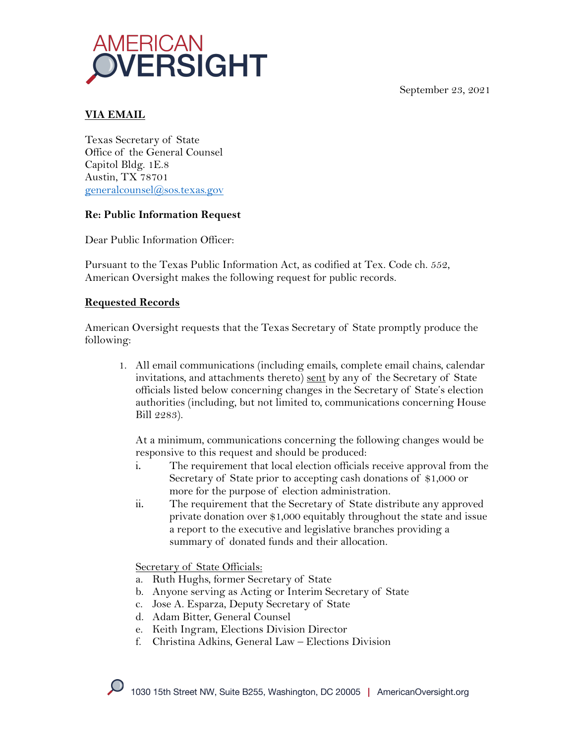September 23, 2021



# **VIA EMAIL**

Texas Secretary of State Office of the General Counsel Capitol Bldg. 1E.8 Austin, TX 78701 generalcounsel@sos.texas.gov

#### **Re: Public Information Request**

Dear Public Information Officer:

Pursuant to the Texas Public Information Act, as codified at Tex. Code ch. 552, American Oversight makes the following request for public records.

#### **Requested Records**

American Oversight requests that the Texas Secretary of State promptly produce the following:

1. All email communications (including emails, complete email chains, calendar invitations, and attachments thereto) sent by any of the Secretary of State officials listed below concerning changes in the Secretary of State's election authorities (including, but not limited to, communications concerning House Bill 2283).

At a minimum, communications concerning the following changes would be responsive to this request and should be produced:

- i. The requirement that local election officials receive approval from the Secretary of State prior to accepting cash donations of \$1,000 or more for the purpose of election administration.
- ii. The requirement that the Secretary of State distribute any approved private donation over \$1,000 equitably throughout the state and issue a report to the executive and legislative branches providing a summary of donated funds and their allocation.

Secretary of State Officials:

- a. Ruth Hughs, former Secretary of State
- b. Anyone serving as Acting or Interim Secretary of State
- c. Jose A. Esparza, Deputy Secretary of State
- d. Adam Bitter, General Counsel
- e. Keith Ingram, Elections Division Director
- f. Christina Adkins, General Law Elections Division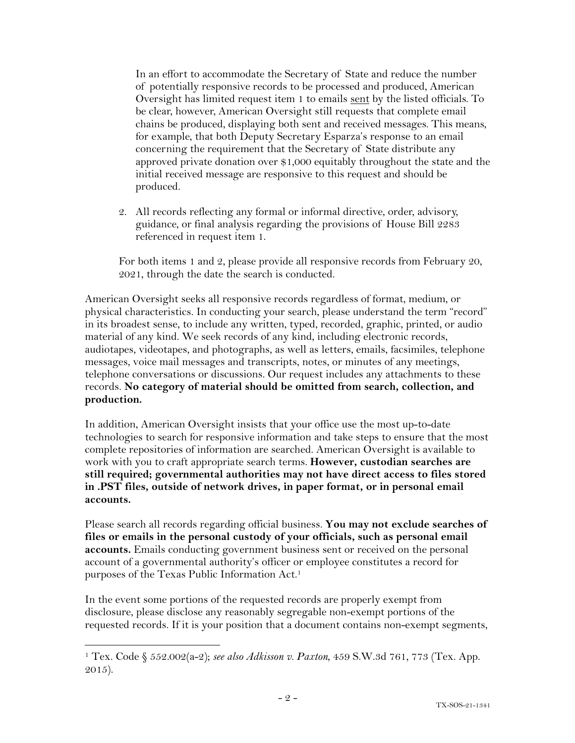In an effort to accommodate the Secretary of State and reduce the number of potentially responsive records to be processed and produced, American Oversight has limited request item 1 to emails sent by the listed officials. To be clear, however, American Oversight still requests that complete email chains be produced, displaying both sent and received messages. This means, for example, that both Deputy Secretary Esparza's response to an email concerning the requirement that the Secretary of State distribute any approved private donation over \$1,000 equitably throughout the state and the initial received message are responsive to this request and should be produced.

2. All records reflecting any formal or informal directive, order, advisory, guidance, or final analysis regarding the provisions of House Bill 2283 referenced in request item 1.

For both items 1 and 2, please provide all responsive records from February 20, 2021, through the date the search is conducted.

American Oversight seeks all responsive records regardless of format, medium, or physical characteristics. In conducting your search, please understand the term "record" in its broadest sense, to include any written, typed, recorded, graphic, printed, or audio material of any kind. We seek records of any kind, including electronic records, audiotapes, videotapes, and photographs, as well as letters, emails, facsimiles, telephone messages, voice mail messages and transcripts, notes, or minutes of any meetings, telephone conversations or discussions. Our request includes any attachments to these records. **No category of material should be omitted from search, collection, and production.**

In addition, American Oversight insists that your office use the most up-to-date technologies to search for responsive information and take steps to ensure that the most complete repositories of information are searched. American Oversight is available to work with you to craft appropriate search terms. **However, custodian searches are still required; governmental authorities may not have direct access to files stored in .PST files, outside of network drives, in paper format, or in personal email accounts.**

Please search all records regarding official business. **You may not exclude searches of files or emails in the personal custody of your officials, such as personal email accounts.** Emails conducting government business sent or received on the personal account of a governmental authority's officer or employee constitutes a record for purposes of the Texas Public Information Act.1

In the event some portions of the requested records are properly exempt from disclosure, please disclose any reasonably segregable non-exempt portions of the requested records. If it is your position that a document contains non-exempt segments,

<sup>1</sup> Tex. Code § 552.002(a-2); *see also Adkisson v. Paxton*, 459 S.W.3d 761, 773 (Tex. App. 2015).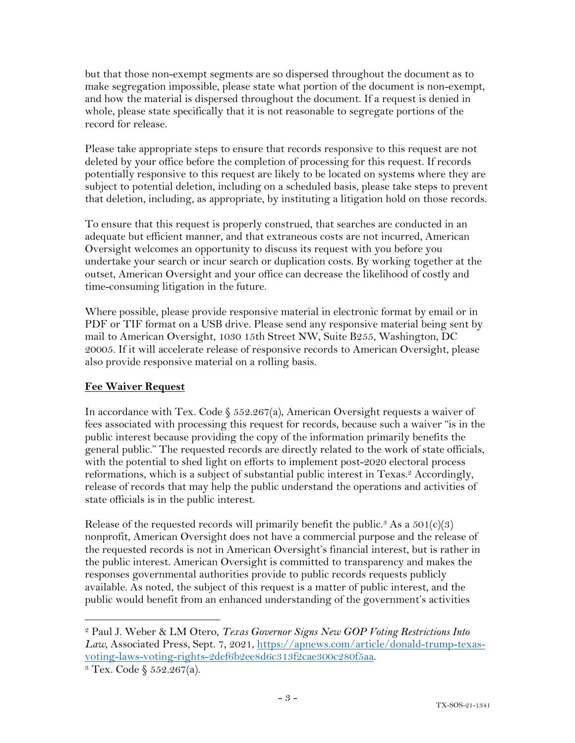but that those non-exempt segments are so dispersed throughout the document as to make segregation impossible, please state what portion of the document is non-exempt, and how the material is dispersed throughout the document. If a request is denied in whole, please state specifically that it is not reasonable to segregate portions of the record for release.

Please take appropriate steps to ensure that records responsive to this request are not deleted by your office before the completion of processing for this request. If records potentially responsive to this request are likely to be located on systems where they are subject to potential deletion, including on a scheduled basis, please take steps to prevent that deletion, including, as appropriate, by instituting a litigation hold on those records.

To ensure that this request is properly construed, that searches are conducted in an adequate but efficient manner, and that extraneous costs are not incurred, American Oversight welcomes an opportunity to discuss its request with you before you undertake your search or incur search or duplication costs. By working together at the outset, American Oversight and your office can decrease the likelihood of costly and time-consuming litigation in the future.

Where possible, please provide responsive material in electronic format by email or in PDF or TIF format on a USB drive. Please send any responsive material being sent by mail to American Oversight, 1030 15th Street NW, Suite B255, Washington, DC 20005. If it will accelerate release of responsive records to American Oversight, please also provide responsive material on a rolling basis.

## **Fee Waiver Request**

In accordance with Tex. Code  $\S$  552.267(a), American Oversight requests a waiver of fees associated with processing this request for records, because such a waiver "is in the public interest because providing the copy of the information primarily benefits the general public." The requested records are directly related to the work of state officials, with the potential to shed light on efforts to implement post-2020 electoral process reformations, which is a subject of substantial public interest in Texas.<sup>2</sup> Accordingly, release of records that may help the public understand the operations and activities of state officials is in the public interest.

Release of the requested records will primarily benefit the public.<sup>3</sup> As a  $501(c)(3)$ nonprofit, American Oversight does not have a commercial purpose and the release of the requested records is not in American Oversight's financial interest, but is rather in the public interest. American Oversight is committed to transparency and makes the responses governmental authorities provide to public records requests publicly available. As noted, the subject of this request is a matter of public interest, and the public would benefit from an enhanced understanding of the government's activities

<sup>2</sup> Paul J. Weber & LM Otero, *Texas Governor Signs New GOP Voting Restrictions Into*  Law, Associated Press, Sept. 7, 2021, https://apnews.com/article/donald-trump-texasvoting-laws-voting-rights-2def6b2ee8d6c313f2cae300c280f5aa.

 $3$  Tex. Code §  $552.267(a)$ .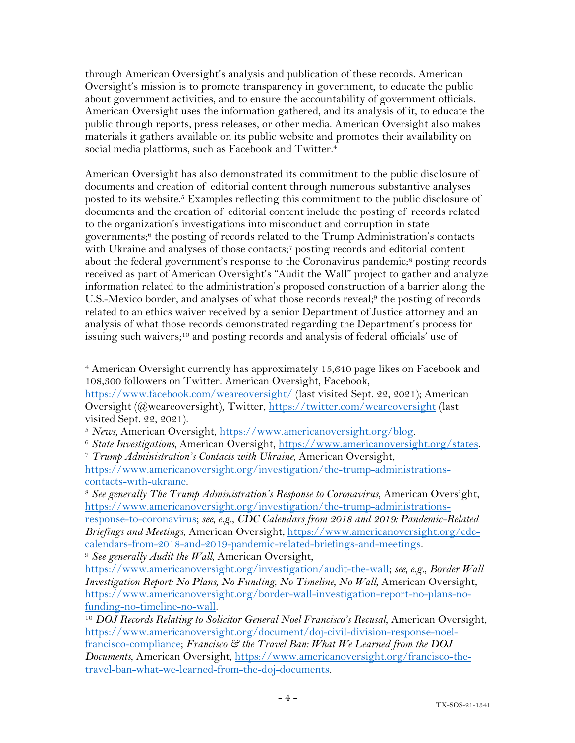through American Oversight's analysis and publication of these records. American Oversight's mission is to promote transparency in government, to educate the public about government activities, and to ensure the accountability of government officials. American Oversight uses the information gathered, and its analysis of it, to educate the public through reports, press releases, or other media. American Oversight also makes materials it gathers available on its public website and promotes their availability on social media platforms, such as Facebook and Twitter.<sup>4</sup>

American Oversight has also demonstrated its commitment to the public disclosure of documents and creation of editorial content through numerous substantive analyses posted to its website.<sup>5</sup> Examples reflecting this commitment to the public disclosure of documents and the creation of editorial content include the posting of records related to the organization's investigations into misconduct and corruption in state governments; <sup>6</sup> the posting of records related to the Trump Administration's contacts with Ukraine and analyses of those contacts;<sup>7</sup> posting records and editorial content about the federal government's response to the Coronavirus pandemic;<sup>8</sup> posting records received as part of American Oversight's "Audit the Wall" project to gather and analyze information related to the administration's proposed construction of a barrier along the U.S.-Mexico border, and analyses of what those records reveal;<sup>9</sup> the posting of records related to an ethics waiver received by a senior Department of Justice attorney and an analysis of what those records demonstrated regarding the Department's process for issuing such waivers;<sup>10</sup> and posting records and analysis of federal officials' use of

response-to-coronavirus; *see, e.g.*, *CDC Calendars from 2018 and 2019: Pandemic-Related Briefings and Meetings*, American Oversight, https://www.americanoversight.org/cdccalendars-from-2018-and-2019-pandemic-related-briefings-and-meetings.

<sup>4</sup> American Oversight currently has approximately 15,640 page likes on Facebook and 108,300 followers on Twitter. American Oversight, Facebook,

https://www.facebook.com/weareoversight/ (last visited Sept. 22, 2021); American Oversight (@weareoversight), Twitter, https://twitter.com/weareoversight (last visited Sept. 22, 2021).

<sup>&</sup>lt;sup>5</sup> News, American Oversight, <u>https://www.americanoversight.org/blog</u>.<br><sup>6</sup> State Investigations, American Oversight, https://www.americanoversight.org/states.<br><sup>7</sup> Trump Administration's Contacts with Ukraine, American Ov

https://www.americanoversight.org/investigation/the-trump-administrationscontacts-with-ukraine.

<sup>8</sup> *See generally The Trump Administration's Response to Coronavirus*, American Oversight, https://www.americanoversight.org/investigation/the-trump-administrations-

<sup>9</sup> *See generally Audit the Wall*, American Oversight,

https://www.americanoversight.org/investigation/audit-the-wall; *see, e.g.*, *Border Wall Investigation Report: No Plans, No Funding, No Timeline, No Wall*, American Oversight, https://www.americanoversight.org/border-wall-investigation-report-no-plans-nofunding-no-timeline-no-wall. 10 *DOJ Records Relating to Solicitor General Noel Francisco's Recusal*, American Oversight,

https://www.americanoversight.org/document/doj-civil-division-response-noelfrancisco-compliance; *Francisco & the Travel Ban: What We Learned from the DOJ Documents*, American Oversight, https://www.americanoversight.org/francisco-thetravel-ban-what-we-learned-from-the-doj-documents.